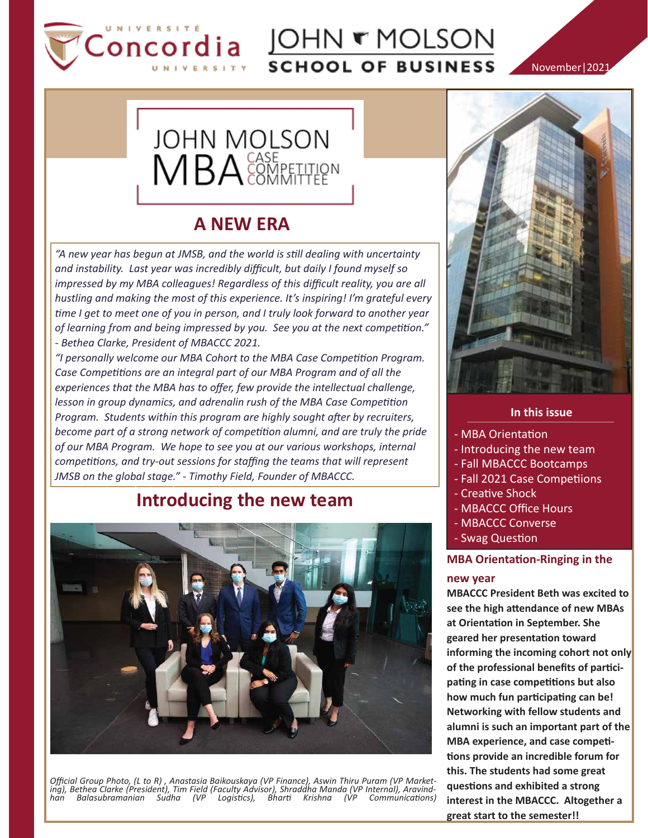

# Oncordia COHN THOLSON **SCHOOL OF BUSINESS**

November|2021



## **A NEW ERA**

*"A new year has begun at JMSB, and the world is still dealing with uncertainty and instability. Last year was incredibly difficult, but daily I found myself so impressed by my MBA colleagues! Regardless of this difficult reality, you are all hustling and making the most of this experience. It's inspiring! I'm grateful every time I get to meet one of you in person, and I truly look forward to another year of learning from and being impressed by you. See you at the next competition." - Bethea Clarke, President of MBACCC 2021.*

*"I personally welcome our MBA Cohort to the MBA Case Competition Program. Case Competitions are an integral part of our MBA Program and of all the experiences that the MBA has to offer, few provide the intellectual challenge, lesson in group dynamics, and adrenalin rush of the MBA Case Competition Program. Students within this program are highly sought after by recruiters, become part of a strong network of competition alumni, and are truly the pride of our MBA Program. We hope to see you at our various workshops, internal competitions, and try-out sessions for staffing the teams that will represent JMSB on the global stage." - Timothy Field, Founder of MBACCC.*

### Introducing the new team **Introducing the new team**



Official Group Photo, (L to R) , Anastasia Baikouskaya (VP Finance), Aswin Thiru Puram (VP Market-<br>ing), Bethea Clarke (President), Tim Field (Faculty Advisor), Shraddha Manda (VP Internal), Aravind-<br>han Balasubramanian Su



#### **In this issue**

- MBA Orientation
- Introducing the new team
- Fall MBACCC Bootcamps
- Fall 2021 Case Competiions
- Creative Shock
- MBACCC Office Hours
- MBACCC Converse
- Swag Question

### **MBA Orientation-Ringing in the**

#### **new year**

**MBACCC President Beth was excited to see the high a�endance of new MBAs at Orienta�on in September. She geared her presenta�on toward informing the incoming cohort not only of the professional benefits of par�ci**pating in case competitions but also how much fun participating can be! **Networking with fellow students and alumni is such an important part of the MBA experience, and case compe�- �ons provide an incredible forum for this. The students had some great ques�ons and exhibited a strong interest in the MBACCC. Altogether a great start to the semester!!**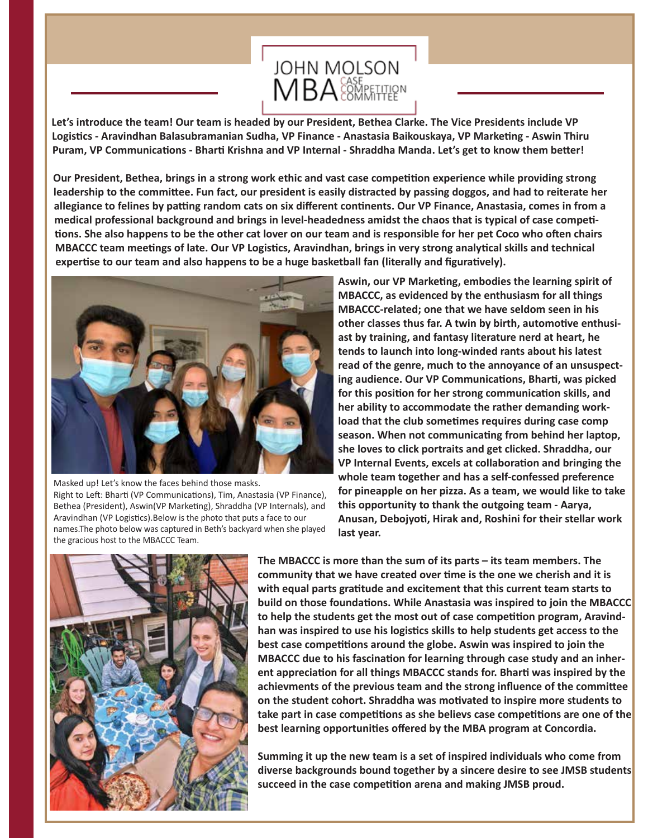

**Let's introduce the team! Our team is headed by our President, Bethea Clarke. The Vice Presidents include VP**  Logistics - Aravindhan Balasubramanian Sudha, VP Finance - Anastasia Baikouskaya, VP Marketing - Aswin Thiru Puram, VP Communications - Bharti Krishna and VP Internal - Shraddha Manda. Let's get to know them better!

**Our President, Bethea, brings in a strong work ethic and vast case competition experience while providing strong leadership to the commi�ee. Fun fact, our president is easily distracted by passing doggos, and had to reiterate her**  allegiance to felines by patting random cats on six different continents. Our VP Finance, Anastasia, comes in from a medical professional background and brings in level-headedness amidst the chaos that is typical of case competi-**�ons. She also happens to be the other cat lover on our team and is responsible for her pet Coco who o�en chairs MBACCC team mee�ngs of late. Our VP Logis�cs, Aravindhan, brings in very strong analy�cal skills and technical**  expertise to our team and also happens to be a huge basketball fan (literally and figuratively).



Masked up! Let's know the faces behind those masks. Right to Left: Bharti (VP Communications), Tim, Anastasia (VP Finance), Bethea (President), Aswin(VP Marketing), Shraddha (VP Internals), and Aravindhan (VP Logistics).Below is the photo that puts a face to our names.The photo below was captured in Beth's backyard when she played the gracious host to the MBACCC Team.

Aswin, our VP Marketing, embodies the learning spirit of **MBACCC, as evidenced by the enthusiasm for all things MBACCC-related; one that we have seldom seen in his**  other classes thus far. A twin by birth, automotive enthusi**ast by training, and fantasy literature nerd at heart, he tends to launch into long-winded rants about his latest read of the genre, much to the annoyance of an unsuspect**ing audience. Our VP Communications, Bharti, was picked for this position for her strong communication skills, and **her ability to accommodate the rather demanding work**load that the club sometimes requires during case comp season. When not communicating from behind her laptop, **she loves to click portraits and get clicked. Shraddha, our VP Internal Events, excels at collaboration and bringing the whole team together and has a self-confessed preference for pineapple on her pizza. As a team, we would like to take this opportunity to thank the outgoing team - Aarya, Anusan, Debojyo�, Hirak and, Roshini for their stellar work last year.** 



**The MBACCC is more than the sum of its parts – its team members. The community that we have created over �me is the one we cherish and it is with equal parts gra�tude and excitement that this current team starts to build on those foundations. While Anastasia was inspired to join the MBACCC** to help the students get the most out of case competition program, Aravind**han was inspired to use his logis�cs skills to help students get access to the**  best case competitions around the globe. Aswin was inspired to join the **MBACCC** due to his fascination for learning through case study and an inherent appreciation for all things MBACCC stands for. Bharti was inspired by the **achievments of the previous team and the strong influence of the commi�ee**  on the student cohort. Shraddha was motivated to inspire more students to take part in case competitions as she believs case competitions are one of the **best learning opportuni�es offered by the MBA program at Concordia.**

**Summing it up the new team is a set of inspired individuals who come from diverse backgrounds bound together by a sincere desire to see JMSB students**  succeed in the case competition arena and making JMSB proud.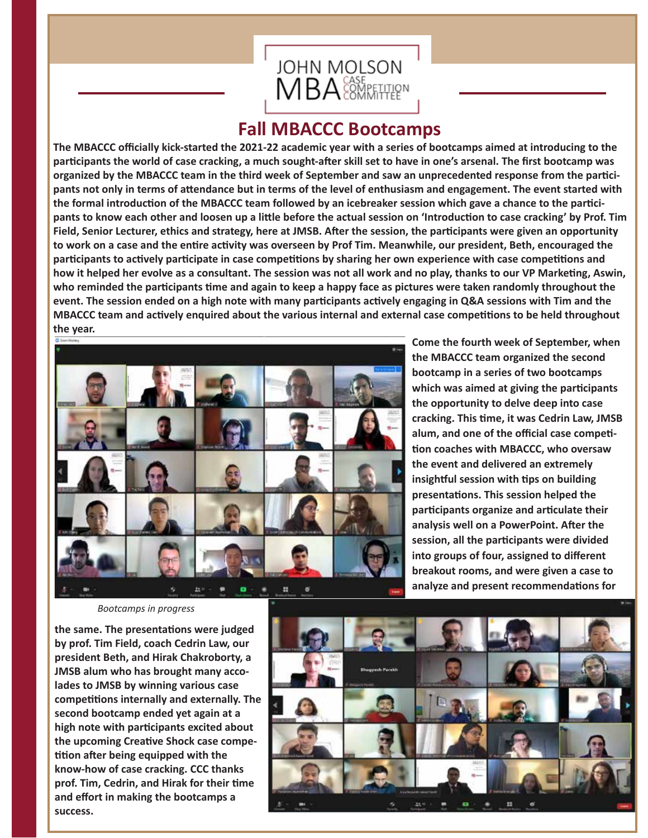

### **Fall MBACCC Bootcamps**

**The MBACCC officially kick-started the 2021-22 academic year with a series of bootcamps aimed at introducing to the par�cipants the world of case cracking, a much sought-a�er skill set to have in one's arsenal. The first bootcamp was organized by the MBACCC team in the third week of September and saw an unprecedented response from the par�ci**pants not only in terms of attendance but in terms of the level of enthusiasm and engagement. The event started with the formal introduction of the MBACCC team followed by an icebreaker session which gave a chance to the participants to know each other and loosen up a little before the actual session on 'Introduction to case cracking' by Prof. Tim Field, Senior Lecturer, ethics and strategy, here at JMSB. After the session, the participants were given an opportunity to work on a case and the entire activity was overseen by Prof Tim. Meanwhile, our president, Beth, encouraged the participants to actively participate in case competitions by sharing her own experience with case competitions and how it helped her evolve as a consultant. The session was not all work and no play, thanks to our VP Marketing, Aswin, who reminded the participants time and again to keep a happy face as pictures were taken randomly throughout the event. The session ended on a high note with many participants actively engaging in Q&A sessions with Tim and the **MBACCC team and actively enquired about the various internal and external case competitions to be held throughout the year.** 



**Come the fourth week of September, when the MBACCC team organized the second bootcamp in a series of two bootcamps which was aimed at giving the par�cipants the opportunity to delve deep into case**  cracking. This time, it was Cedrin Law, JMSB alum, and one of the official case competi-**�on coaches with MBACCC, who oversaw the event and delivered an extremely insightful session with tips on building** presentations. This session helped the **par�cipants organize and ar�culate their analysis well on a PowerPoint. A�er the session, all the par�cipants were divided into groups of four, assigned to different breakout rooms, and were given a case to**  analyze and present recommendations for

*Bootcamps in progress*

the same. The presentations were judged **by prof. Tim Field, coach Cedrin Law, our president Beth, and Hirak Chakroborty, a JMSB alum who has brought many accolades to JMSB by winning various case**  competitions internally and externally. The **second bootcamp ended yet again at a high note with par�cipants excited about**  the upcoming Creative Shock case compe-**��on a�er being equipped with the know-how of case cracking. CCC thanks**  prof. Tim, Cedrin, and Hirak for their time **and effort in making the bootcamps a success.**

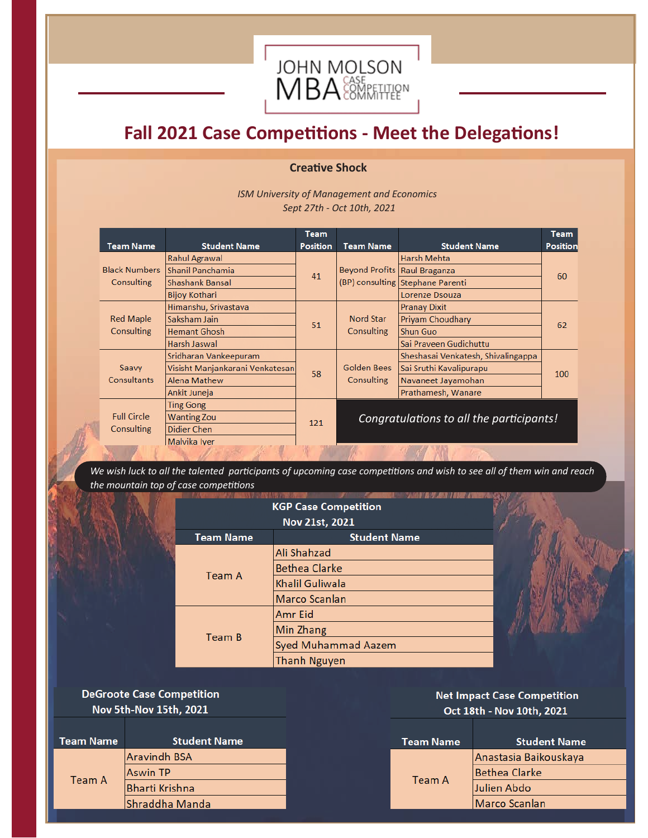

# **Fall 2021 Case Competitions - Meet the Delegations!**

### **Creative Shock**

 *ISM University of Management and Economics Sept 27th - Oct 10th, 2021*

|                                    |                                 | <b>Team</b>     |                                          |                                    | <b>Team</b>     |
|------------------------------------|---------------------------------|-----------------|------------------------------------------|------------------------------------|-----------------|
| <b>Team Name</b>                   | <b>Student Name</b>             | <b>Position</b> | <b>Team Name</b>                         | <b>Student Name</b>                | <b>Position</b> |
| <b>Black Numbers</b><br>Consulting | <b>Rahul Agrawal</b>            | 41              | <b>Beyond Profits Raul Braganza</b>      | Harsh Mehta                        | 60              |
|                                    | Shanil Panchamia                |                 |                                          |                                    |                 |
|                                    | Shashank Bansal                 |                 |                                          | (BP) consulting Stephane Parenti   |                 |
|                                    | <b>Bijoy Kothari</b>            |                 |                                          | Lorenze Dsouza                     |                 |
| <b>Red Maple</b><br>Consulting     | Himanshu, Srivastava            | 51              | <b>Nord Star</b><br><b>Consulting</b>    | <b>Pranay Dixit</b>                | 62              |
|                                    | Saksham Jain                    |                 |                                          | <b>Privam Choudhary</b>            |                 |
|                                    | <b>Hemant Ghosh</b>             |                 |                                          | <b>Shun Guo</b>                    |                 |
|                                    | Harsh Jaswal                    |                 |                                          | Sai Praveen Gudichuttu             |                 |
| Saavy<br><b>Consultants</b>        | Sridharan Vankeepuram           | 58              | <b>Golden Bees</b><br>Consulting         | Sheshasai Venkatesh, Shivalingappa | 100             |
|                                    | Visisht Manjankarani Venkatesan |                 |                                          | Sai Sruthi Kavalipurapu            |                 |
|                                    | <b>Alena Mathew</b>             |                 |                                          | Navaneet Jayamohan                 |                 |
|                                    | Ankit Juneja                    |                 |                                          | Prathamesh, Wanare                 |                 |
| <b>Full Circle</b><br>Consulting   | <b>Ting Gong</b>                | 121             | Congratulations to all the participants! |                                    |                 |
|                                    | <b>Wanting Zou</b>              |                 |                                          |                                    |                 |
|                                    | Didier Chen                     |                 |                                          |                                    |                 |
|                                    | Malvika Iver                    |                 |                                          |                                    |                 |
|                                    |                                 |                 |                                          |                                    |                 |

*We wish luck to all the talented participants of upcoming case competitions and wish to see all of them win and reach the mountain top of case competitions*

| <b>KGP Case Competition</b> |                            |  |  |  |  |
|-----------------------------|----------------------------|--|--|--|--|
| Nov 21st, 2021              |                            |  |  |  |  |
| <b>Team Name</b>            | <b>Student Name</b>        |  |  |  |  |
|                             | Ali Shahzad                |  |  |  |  |
| Team A                      | <b>Bethea Clarke</b>       |  |  |  |  |
|                             | <b>Khalil Guliwala</b>     |  |  |  |  |
|                             | Marco Scanlan              |  |  |  |  |
|                             | Amr Eid                    |  |  |  |  |
| Team B                      | Min Zhang                  |  |  |  |  |
|                             | <b>Syed Muhammad Aazem</b> |  |  |  |  |
|                             | <b>Thanh Nguyen</b>        |  |  |  |  |

**DeGroote Case Competition** Nov 5th-Nov 15th, 2021

| <b>Student Name</b>   |
|-----------------------|
| <b>Aravindh BSA</b>   |
| <b>Aswin TP</b>       |
| <b>Bharti Krishna</b> |
| Shraddha Manda        |
|                       |

**Net Impact Case Competition** Oct 18th - Nov 10th, 2021

| Team Name | <b>Student Name</b>   |  |  |
|-----------|-----------------------|--|--|
|           | Anastasia Baikouskaya |  |  |
| Team A    | <b>Bethea Clarke</b>  |  |  |
|           | <b>Julien Abdo</b>    |  |  |
|           | Marco Scanlan         |  |  |
|           |                       |  |  |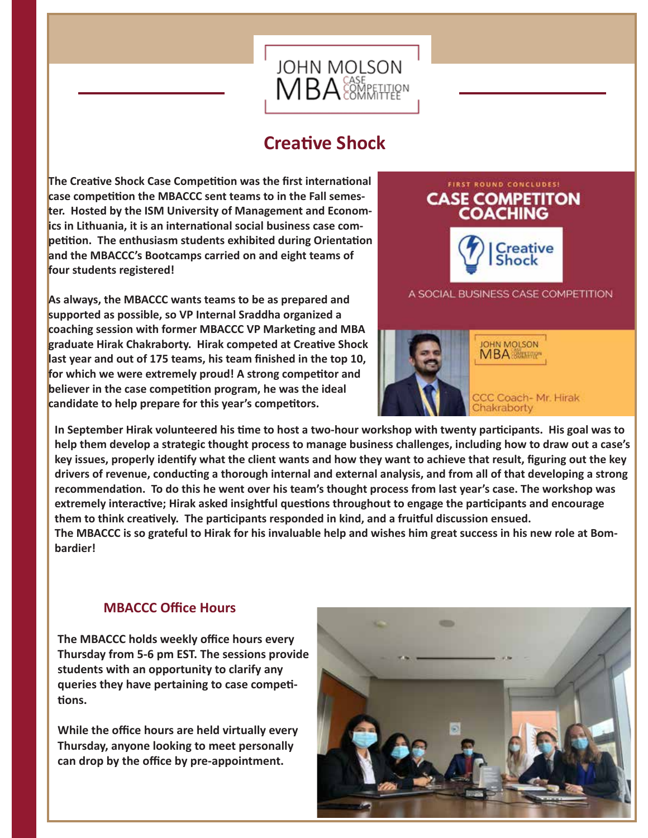

### **Creative Shock**

**The Creative Shock Case Competition was the first international** case competition the MBACCC sent teams to in the Fall semes**ter. Hosted by the ISM University of Management and Econom**ics in Lithuania, it is an international social business case com**petition.** The enthusiasm students exhibited during Orientation **and the MBACCC's Bootcamps carried on and eight teams of four students registered!** 

**As always, the MBACCC wants teams to be as prepared and supported as possible, so VP Internal Sraddha organized a**  coaching session with former MBACCC VP Marketing and MBA **graduate Hirak Chakraborty. Hirak competed at Creative Shock last year and out of 175 teams, his team finished in the top 10,**  for which we were extremely proud! A strong competitor and believer in the case competition program, he was the ideal candidate to help prepare for this year's competitors.



A SOCIAL BUSINESS CASE COMPETITION



In September Hirak volunteered his time to host a two-hour workshop with twenty participants. His goal was to **help them develop a strategic thought process to manage business challenges, including how to draw out a case's key issues, properly iden�fy what the client wants and how they want to achieve that result, figuring out the key**  drivers of revenue, conducting a thorough internal and external analysis, and from all of that developing a strong recommendation. To do this he went over his team's thought process from last year's case. The workshop was extremely interactive; Hirak asked insightful questions throughout to engage the participants and encourage them to think creatively. The participants responded in kind, and a fruitful discussion ensued. **The MBACCC is so grateful to Hirak for his invaluable help and wishes him great success in his new role at Bombardier!**

### **MBACCC Office Hours**

**The MBACCC holds weekly office hours every Thursday from 5-6 pm EST. The sessions provide students with an opportunity to clarify any queries they have pertaining to case compe�- �ons.**

**While the office hours are held virtually every Thursday, anyone looking to meet personally can drop by the office by pre-appointment.**

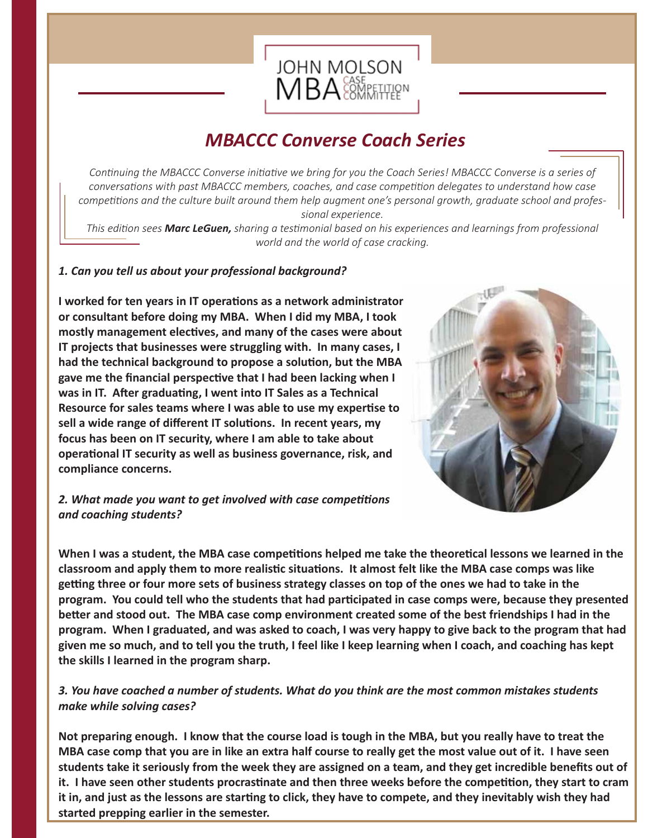

## *MBACCC Converse Coach Series*

*Continuing the MBACCC Converse initiative we bring for you the Coach Series! MBACCC Converse is a series of conversations with past MBACCC members, coaches, and case competition delegates to understand how case competitions and the culture built around them help augment one's personal growth, graduate school and professional experience.*

*This edition sees Marc LeGuen, sharing a testimonial based on his experiences and learnings from professional world and the world of case cracking.*

### *1. Can you tell us about your professional background?*

**I** worked for ten years in IT operations as a network administrator **or consultant before doing my MBA. When I did my MBA, I took**  mostly management electives, and many of the cases were about **IT projects that businesses were struggling with. In many cases, I**  had the technical background to propose a solution, but the MBA gave me the financial perspective that I had been lacking when I was in IT. After graduating, I went into IT Sales as a Technical **Resource for sales teams where I was able to use my exper�se to**  sell a wide range of different IT solutions. In recent years, my **focus has been on IT security, where I am able to take about**  operational IT security as well as business governance, risk, and **compliance concerns.**



### *2. What made you want to get involved with case competitions and coaching students?*

When I was a student, the MBA case competitions helped me take the theoretical lessons we learned in the **classroom and apply them to more realis�c situa�ons. It almost felt like the MBA case comps was like**  getting three or four more sets of business strategy classes on top of the ones we had to take in the **program. You could tell who the students that had par�cipated in case comps were, because they presented better and stood out. The MBA case comp environment created some of the best friendships I had in the program. When I graduated, and was asked to coach, I was very happy to give back to the program that had given me so much, and to tell you the truth, I feel like I keep learning when I coach, and coaching has kept the skills I learned in the program sharp.** 

### *3. You have coached a number of students. What do you think are the most common mistakes students make while solving cases?*

**Not preparing enough. I know that the course load is tough in the MBA, but you really have to treat the MBA case comp that you are in like an extra half course to really get the most value out of it. I have seen students take it seriously from the week they are assigned on a team, and they get incredible benefits out of it. I have seen other students procras�nate and then three weeks before the compe��on, they start to cram**  it in, and just as the lessons are starting to click, they have to compete, and they inevitably wish they had **started prepping earlier in the semester.**